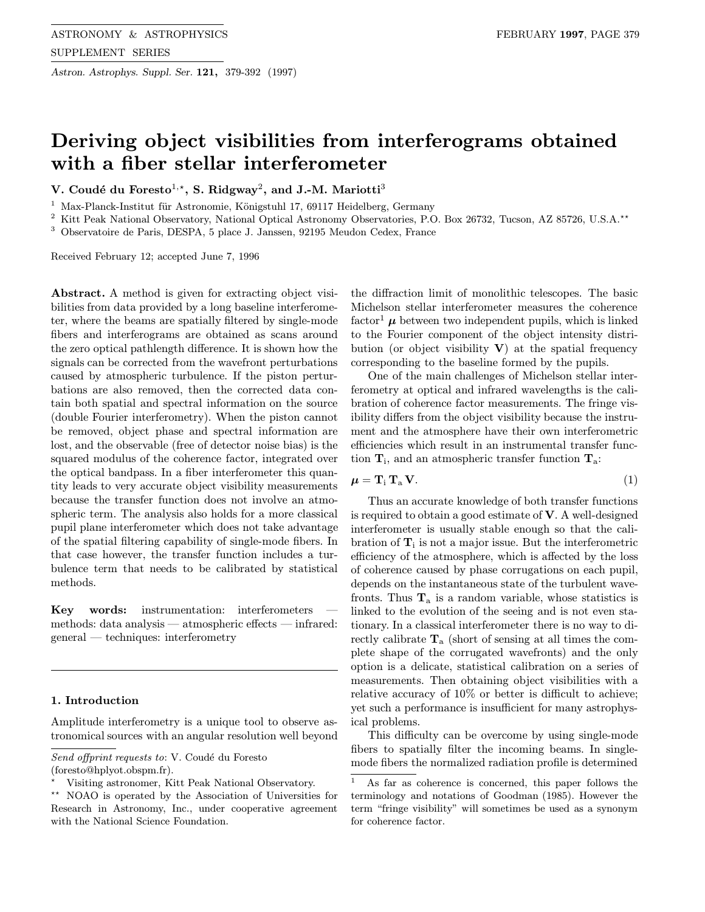Astron. Astrophys. Suppl. Ser. 121, 379-392 (1997)

# Deriving object visibilities from interferograms obtained with a fiber stellar interferometer

V. Coudé du Foresto<sup>1,\*</sup>, S. Ridgway<sup>2</sup>, and J.-M. Mariotti<sup>3</sup>

<sup>1</sup> Max-Planck-Institut für Astronomie, Königstuhl 17, 69117 Heidelberg, Germany

<sup>2</sup> Kitt Peak National Observatory, National Optical Astronomy Observatories, P.O. Box 26732, Tucson, AZ 85726, U.S.A.<sup>\*\*</sup>

<sup>3</sup> Observatoire de Paris, DESPA, 5 place J. Janssen, 92195 Meudon Cedex, France

Received February 12; accepted June 7, 1996

Abstract. A method is given for extracting object visibilities from data provided by a long baseline interferometer, where the beams are spatially filtered by single-mode fibers and interferograms are obtained as scans around the zero optical pathlength difference. It is shown how the signals can be corrected from the wavefront perturbations caused by atmospheric turbulence. If the piston perturbations are also removed, then the corrected data contain both spatial and spectral information on the source (double Fourier interferometry). When the piston cannot be removed, object phase and spectral information are lost, and the observable (free of detector noise bias) is the squared modulus of the coherence factor, integrated over the optical bandpass. In a fiber interferometer this quantity leads to very accurate object visibility measurements because the transfer function does not involve an atmospheric term. The analysis also holds for a more classical pupil plane interferometer which does not take advantage of the spatial filtering capability of single-mode fibers. In that case however, the transfer function includes a turbulence term that needs to be calibrated by statistical methods.

Key words: instrumentation: interferometers methods: data analysis — atmospheric effects — infrared: general — techniques: interferometry

# 1. Introduction

Amplitude interferometry is a unique tool to observe astronomical sources with an angular resolution well beyond

the diffraction limit of monolithic telescopes. The basic Michelson stellar interferometer measures the coherence factor<sup>1</sup>  $\mu$  between two independent pupils, which is linked to the Fourier component of the object intensity distribution (or object visibility  $V$ ) at the spatial frequency corresponding to the baseline formed by the pupils.

One of the main challenges of Michelson stellar interferometry at optical and infrared wavelengths is the calibration of coherence factor measurements. The fringe visibility differs from the object visibility because the instrument and the atmosphere have their own interferometric efficiencies which result in an instrumental transfer function  $T_i$ , and an atmospheric transfer function  $T_a$ :

$$
\mu = \mathbf{T}_{i} \, \mathbf{T}_{a} \, \mathbf{V}.\tag{1}
$$

Thus an accurate knowledge of both transfer functions is required to obtain a good estimate of V. A well-designed interferometer is usually stable enough so that the calibration of  $\mathbf{T}_i$  is not a major issue. But the interferometric efficiency of the atmosphere, which is affected by the loss of coherence caused by phase corrugations on each pupil, depends on the instantaneous state of the turbulent wavefronts. Thus  $T_a$  is a random variable, whose statistics is linked to the evolution of the seeing and is not even stationary. In a classical interferometer there is no way to directly calibrate  $T_a$  (short of sensing at all times the complete shape of the corrugated wavefronts) and the only option is a delicate, statistical calibration on a series of measurements. Then obtaining object visibilities with a relative accuracy of 10% or better is difficult to achieve; yet such a performance is insufficient for many astrophysical problems.

This difficulty can be overcome by using single-mode fibers to spatially filter the incoming beams. In singlemode fibers the normalized radiation profile is determined

Send offprint requests to: V. Coudé du Foresto

<sup>(</sup>foresto@hplyot.obspm.fr).

<sup>?</sup> Visiting astronomer, Kitt Peak National Observatory.

<sup>\*\*</sup> NOAO is operated by the Association of Universities for Research in Astronomy, Inc., under cooperative agreement with the National Science Foundation.

<sup>1</sup> As far as coherence is concerned, this paper follows the terminology and notations of Goodman (1985). However the term "fringe visibility" will sometimes be used as a synonym for coherence factor.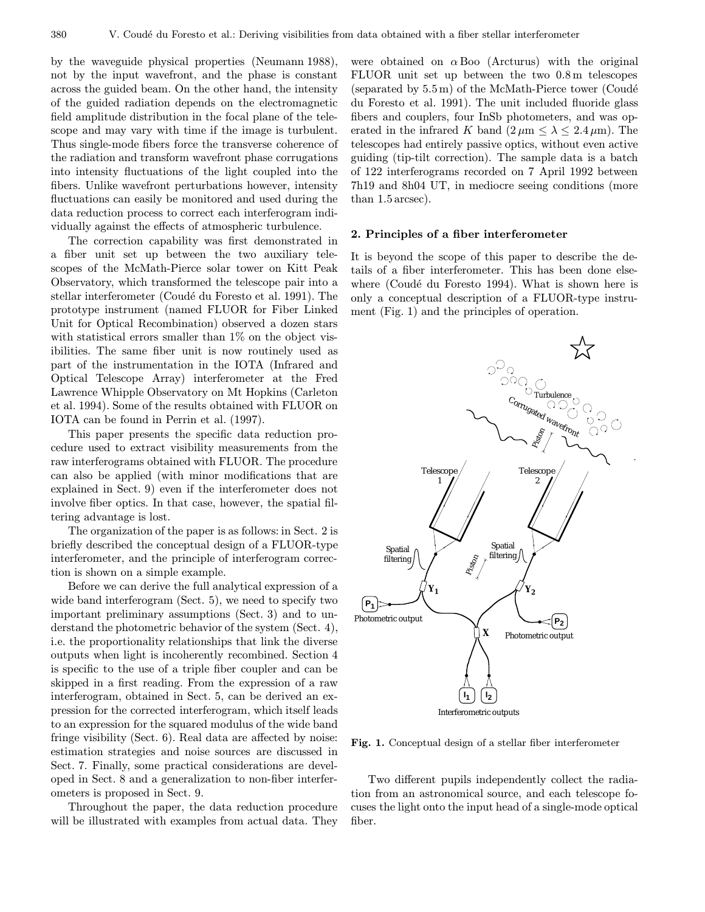by the waveguide physical properties (Neumann 1988), not by the input wavefront, and the phase is constant across the guided beam. On the other hand, the intensity of the guided radiation depends on the electromagnetic field amplitude distribution in the focal plane of the telescope and may vary with time if the image is turbulent. Thus single-mode fibers force the transverse coherence of the radiation and transform wavefront phase corrugations into intensity fluctuations of the light coupled into the fibers. Unlike wavefront perturbations however, intensity fluctuations can easily be monitored and used during the data reduction process to correct each interferogram individually against the effects of atmospheric turbulence.

The correction capability was first demonstrated in a fiber unit set up between the two auxiliary telescopes of the McMath-Pierce solar tower on Kitt Peak Observatory, which transformed the telescope pair into a stellar interferometer (Coudé du Foresto et al. 1991). The prototype instrument (named FLUOR for Fiber Linked Unit for Optical Recombination) observed a dozen stars with statistical errors smaller than  $1\%$  on the object visibilities. The same fiber unit is now routinely used as part of the instrumentation in the IOTA (Infrared and Optical Telescope Array) interferometer at the Fred Lawrence Whipple Observatory on Mt Hopkins (Carleton et al. 1994). Some of the results obtained with FLUOR on IOTA can be found in Perrin et al. (1997).

This paper presents the specific data reduction procedure used to extract visibility measurements from the raw interferograms obtained with FLUOR. The procedure can also be applied (with minor modifications that are explained in Sect. 9) even if the interferometer does not involve fiber optics. In that case, however, the spatial filtering advantage is lost.

The organization of the paper is as follows: in Sect. 2 is briefly described the conceptual design of a FLUOR-type interferometer, and the principle of interferogram correction is shown on a simple example.

Before we can derive the full analytical expression of a wide band interferogram (Sect. 5), we need to specify two important preliminary assumptions (Sect. 3) and to understand the photometric behavior of the system (Sect. 4), i.e. the proportionality relationships that link the diverse outputs when light is incoherently recombined. Section 4 is specific to the use of a triple fiber coupler and can be skipped in a first reading. From the expression of a raw interferogram, obtained in Sect. 5, can be derived an expression for the corrected interferogram, which itself leads to an expression for the squared modulus of the wide band fringe visibility (Sect. 6). Real data are affected by noise: estimation strategies and noise sources are discussed in Sect. 7. Finally, some practical considerations are developed in Sect. 8 and a generalization to non-fiber interferometers is proposed in Sect. 9.

Throughout the paper, the data reduction procedure will be illustrated with examples from actual data. They

were obtained on  $\alpha$  Boo (Arcturus) with the original FLUOR unit set up between the two 0.8m telescopes (separated by  $5.5 \,\mathrm{m}$ ) of the McMath-Pierce tower (Coudé du Foresto et al. 1991). The unit included fluoride glass fibers and couplers, four InSb photometers, and was operated in the infrared K band  $(2 \mu m \leq \lambda \leq 2.4 \mu m)$ . The telescopes had entirely passive optics, without even active guiding (tip-tilt correction). The sample data is a batch of 122 interferograms recorded on 7 April 1992 between 7h19 and 8h04 UT, in mediocre seeing conditions (more than 1.5arcsec).

## 2. Principles of a fiber interferometer

It is beyond the scope of this paper to describe the details of a fiber interferometer. This has been done elsewhere (Coudé du Foresto 1994). What is shown here is only a conceptual description of a FLUOR-type instrument (Fig. 1) and the principles of operation.



Fig. 1. Conceptual design of a stellar fiber interferometer

Two different pupils independently collect the radiation from an astronomical source, and each telescope focuses the light onto the input head of a single-mode optical fiber.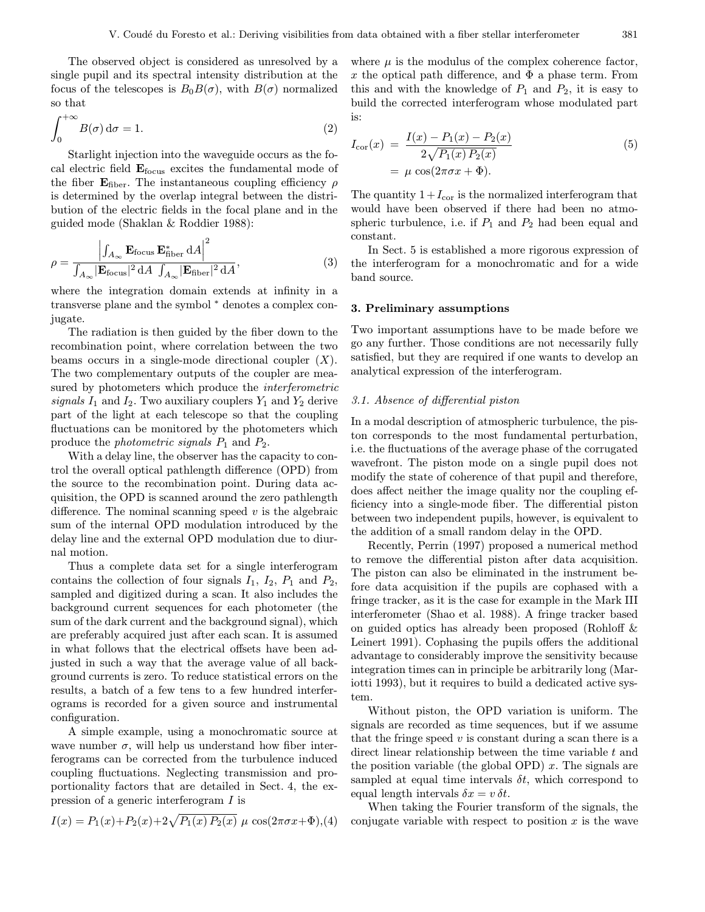The observed object is considered as unresolved by a single pupil and its spectral intensity distribution at the focus of the telescopes is  $B_0B(\sigma)$ , with  $B(\sigma)$  normalized so that

$$
\int_0^{+\infty} B(\sigma) d\sigma = 1.
$$
 (2)

Starlight injection into the waveguide occurs as the focal electric field  $\mathbf{E}_{\text{focus}}$  excites the fundamental mode of the fiber  $\mathbf{E}_{\text{fiber}}$ . The instantaneous coupling efficiency  $\rho$ is determined by the overlap integral between the distribution of the electric fields in the focal plane and in the guided mode (Shaklan & Roddier 1988):

$$
\rho = \frac{\left| \int_{A_{\infty}} \mathbf{E}_{\text{focus}} \mathbf{E}_{\text{fiber}}^* \, \mathrm{d}A \right|^2}{\int_{A_{\infty}} |\mathbf{E}_{\text{focus}}|^2 \, \mathrm{d}A \, \int_{A_{\infty}} |\mathbf{E}_{\text{fiber}}|^2 \, \mathrm{d}A},\tag{3}
$$

where the integration domain extends at infinity in a transverse plane and the symbol <sup>∗</sup> denotes a complex conjugate.

The radiation is then guided by the fiber down to the recombination point, where correlation between the two beams occurs in a single-mode directional coupler  $(X)$ . The two complementary outputs of the coupler are measured by photometers which produce the *interferometric* signals  $I_1$  and  $I_2$ . Two auxiliary couplers  $Y_1$  and  $Y_2$  derive part of the light at each telescope so that the coupling fluctuations can be monitored by the photometers which produce the *photometric signals*  $P_1$  and  $P_2$ .

With a delay line, the observer has the capacity to control the overall optical pathlength difference (OPD) from the source to the recombination point. During data acquisition, the OPD is scanned around the zero pathlength difference. The nominal scanning speed  $v$  is the algebraic sum of the internal OPD modulation introduced by the delay line and the external OPD modulation due to diurnal motion.

Thus a complete data set for a single interferogram contains the collection of four signals  $I_1$ ,  $I_2$ ,  $P_1$  and  $P_2$ , sampled and digitized during a scan. It also includes the background current sequences for each photometer (the sum of the dark current and the background signal), which are preferably acquired just after each scan. It is assumed in what follows that the electrical offsets have been adjusted in such a way that the average value of all background currents is zero. To reduce statistical errors on the results, a batch of a few tens to a few hundred interferograms is recorded for a given source and instrumental configuration.

A simple example, using a monochromatic source at wave number  $\sigma$ , will help us understand how fiber interferograms can be corrected from the turbulence induced coupling fluctuations. Neglecting transmission and proportionality factors that are detailed in Sect. 4, the expression of a generic interferogram I is

$$
I(x) = P_1(x) + P_2(x) + 2\sqrt{P_1(x) P_2(x)} \mu \cos(2\pi\sigma x + \Phi),
$$
 (4)

where  $\mu$  is the modulus of the complex coherence factor, x the optical path difference, and  $\Phi$  a phase term. From this and with the knowledge of  $P_1$  and  $P_2$ , it is easy to build the corrected interferogram whose modulated part is:

$$
I_{\text{cor}}(x) = \frac{I(x) - P_1(x) - P_2(x)}{2\sqrt{P_1(x) P_2(x)}}
$$
  
=  $\mu \cos(2\pi\sigma x + \Phi).$  (5)

The quantity  $1+I_{\text{cor}}$  is the normalized interferogram that would have been observed if there had been no atmospheric turbulence, i.e. if  $P_1$  and  $P_2$  had been equal and constant.

In Sect. 5 is established a more rigorous expression of the interferogram for a monochromatic and for a wide band source.

# 3. Preliminary assumptions

Two important assumptions have to be made before we go any further. Those conditions are not necessarily fully satisfied, but they are required if one wants to develop an analytical expression of the interferogram.

# 3.1. Absence of differential piston

In a modal description of atmospheric turbulence, the piston corresponds to the most fundamental perturbation, i.e. the fluctuations of the average phase of the corrugated wavefront. The piston mode on a single pupil does not modify the state of coherence of that pupil and therefore, does affect neither the image quality nor the coupling efficiency into a single-mode fiber. The differential piston between two independent pupils, however, is equivalent to the addition of a small random delay in the OPD.

Recently, Perrin (1997) proposed a numerical method to remove the differential piston after data acquisition. The piston can also be eliminated in the instrument before data acquisition if the pupils are cophased with a fringe tracker, as it is the case for example in the Mark III interferometer (Shao et al. 1988). A fringe tracker based on guided optics has already been proposed (Rohloff & Leinert 1991). Cophasing the pupils offers the additional advantage to considerably improve the sensitivity because integration times can in principle be arbitrarily long (Mariotti 1993), but it requires to build a dedicated active system.

Without piston, the OPD variation is uniform. The signals are recorded as time sequences, but if we assume that the fringe speed  $v$  is constant during a scan there is a direct linear relationship between the time variable  $t$  and the position variable (the global OPD)  $x$ . The signals are sampled at equal time intervals  $\delta t$ , which correspond to equal length intervals  $\delta x = v \, \delta t$ .

When taking the Fourier transform of the signals, the conjugate variable with respect to position  $x$  is the wave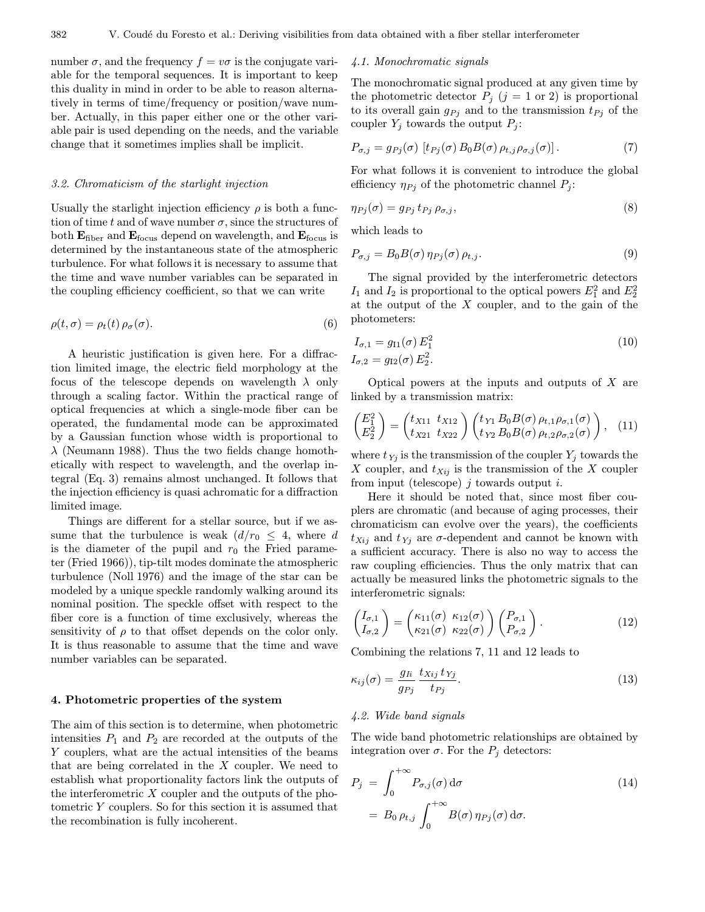number  $\sigma$ , and the frequency  $f = v\sigma$  is the conjugate variable for the temporal sequences. It is important to keep this duality in mind in order to be able to reason alternatively in terms of time/frequency or position/wave number. Actually, in this paper either one or the other variable pair is used depending on the needs, and the variable change that it sometimes implies shall be implicit.

#### 3.2. Chromaticism of the starlight injection

Usually the starlight injection efficiency  $\rho$  is both a function of time t and of wave number  $\sigma$ , since the structures of both  $\mathbf{E}_{\text{fiber}}$  and  $\mathbf{E}_{\text{focus}}$  depend on wavelength, and  $\mathbf{E}_{\text{focus}}$  is determined by the instantaneous state of the atmospheric turbulence. For what follows it is necessary to assume that the time and wave number variables can be separated in the coupling efficiency coefficient, so that we can write

$$
\rho(t,\sigma) = \rho_t(t)\,\rho_\sigma(\sigma). \tag{6}
$$

A heuristic justification is given here. For a diffraction limited image, the electric field morphology at the focus of the telescope depends on wavelength  $\lambda$  only through a scaling factor. Within the practical range of optical frequencies at which a single-mode fiber can be operated, the fundamental mode can be approximated by a Gaussian function whose width is proportional to  $\lambda$  (Neumann 1988). Thus the two fields change homothetically with respect to wavelength, and the overlap integral (Eq. 3) remains almost unchanged. It follows that the injection efficiency is quasi achromatic for a diffraction limited image.

Things are different for a stellar source, but if we assume that the turbulence is weak  $(d/r_0 \leq 4$ , where d is the diameter of the pupil and  $r_0$  the Fried parameter (Fried 1966)), tip-tilt modes dominate the atmospheric turbulence (Noll 1976) and the image of the star can be modeled by a unique speckle randomly walking around its nominal position. The speckle offset with respect to the fiber core is a function of time exclusively, whereas the sensitivity of  $\rho$  to that offset depends on the color only. It is thus reasonable to assume that the time and wave number variables can be separated.

# 4. Photometric properties of the system

The aim of this section is to determine, when photometric intensities  $P_1$  and  $P_2$  are recorded at the outputs of the Y couplers, what are the actual intensities of the beams that are being correlated in the  $X$  coupler. We need to establish what proportionality factors link the outputs of the interferometric  $X$  coupler and the outputs of the photometric Y couplers. So for this section it is assumed that the recombination is fully incoherent.

#### 4.1. Monochromatic signals

The monochromatic signal produced at any given time by the photometric detector  $P_j$  ( $j = 1$  or 2) is proportional to its overall gain  $g_{Pj}$  and to the transmission  $t_{Pj}$  of the coupler  $Y_j$  towards the output  $P_j$ :

$$
P_{\sigma,j} = g_{Pj}(\sigma) \left[ t_{Pj}(\sigma) B_0 B(\sigma) \rho_{t,j} \rho_{\sigma,j}(\sigma) \right]. \tag{7}
$$

For what follows it is convenient to introduce the global efficiency  $\eta_{Pj}$  of the photometric channel  $P_j$ :

$$
\eta_{Pj}(\sigma) = g_{Pj} t_{Pj} \rho_{\sigma,j},\tag{8}
$$

which leads to

$$
P_{\sigma,j} = B_0 B(\sigma) \eta_{Pj}(\sigma) \rho_{t,j}.
$$
\n(9)

The signal provided by the interferometric detectors  $I_1$  and  $I_2$  is proportional to the optical powers  $E_1^2$  and  $E_2^2$ at the output of the  $X$  coupler, and to the gain of the photometers:

$$
I_{\sigma,1} = g_{I1}(\sigma) E_1^2
$$
  
\n
$$
I_{\sigma,2} = g_{I2}(\sigma) E_2^2.
$$
\n(10)

Optical powers at the inputs and outputs of  $X$  are linked by a transmission matrix:

$$
\begin{pmatrix} E_1^2 \\ E_2^2 \end{pmatrix} = \begin{pmatrix} t_{X11} & t_{X12} \\ t_{X21} & t_{X22} \end{pmatrix} \begin{pmatrix} t_{Y1} B_0 B(\sigma) \rho_{t,1} \rho_{\sigma,1}(\sigma) \\ t_{Y2} B_0 B(\sigma) \rho_{t,2} \rho_{\sigma,2}(\sigma) \end{pmatrix}, \quad (11)
$$

where  $t_{Yj}$  is the transmission of the coupler  $Y_j$  towards the X coupler, and  $t_{Xij}$  is the transmission of the X coupler from input (telescope)  $i$  towards output  $i$ .

Here it should be noted that, since most fiber couplers are chromatic (and because of aging processes, their chromaticism can evolve over the years), the coefficients  $t_{Xij}$  and  $t_{Yj}$  are  $\sigma$ -dependent and cannot be known with a sufficient accuracy. There is also no way to access the raw coupling efficiencies. Thus the only matrix that can actually be measured links the photometric signals to the interferometric signals:

$$
\begin{pmatrix} I_{\sigma,1} \\ I_{\sigma,2} \end{pmatrix} = \begin{pmatrix} \kappa_{11}(\sigma) & \kappa_{12}(\sigma) \\ \kappa_{21}(\sigma) & \kappa_{22}(\sigma) \end{pmatrix} \begin{pmatrix} P_{\sigma,1} \\ P_{\sigma,2} \end{pmatrix}.
$$
 (12)

Combining the relations 7, 11 and 12 leads to

$$
\kappa_{ij}(\sigma) = \frac{g_{Ii}}{g_{Pj}} \frac{t_{Xij} t_{Yj}}{t_{Pj}}.
$$
\n(13)

#### 4.2. Wide band signals

The wide band photometric relationships are obtained by integration over  $\sigma$ . For the  $P_j$  detectors:

$$
P_j = \int_0^{+\infty} P_{\sigma,j}(\sigma) d\sigma
$$
  
=  $B_0 \rho_{t,j} \int_0^{+\infty} B(\sigma) \eta_{Pj}(\sigma) d\sigma.$  (14)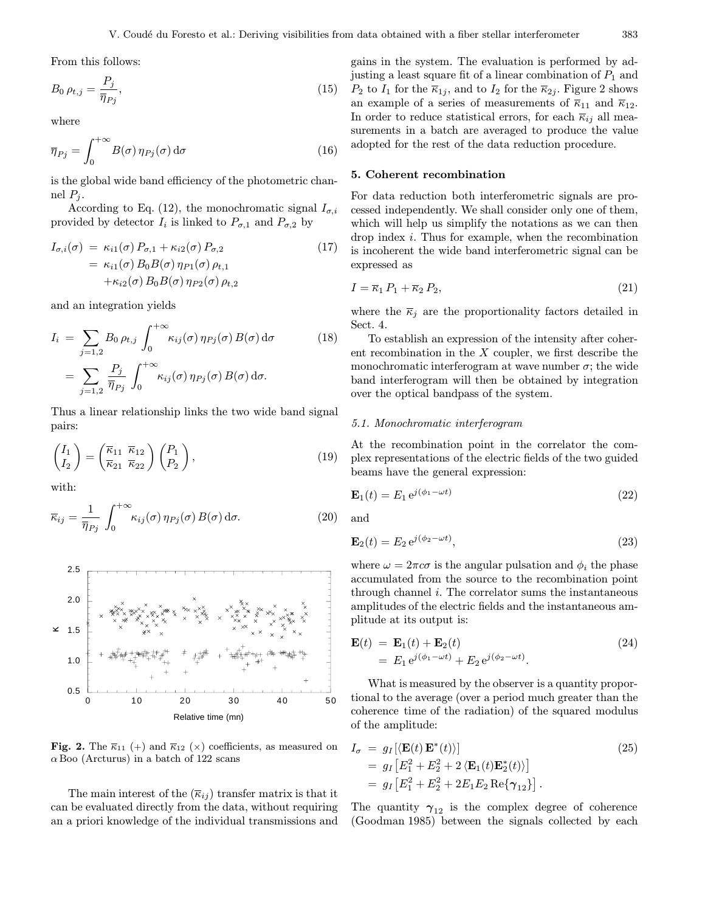From this follows:

$$
B_0 \,\rho_{t,j} = \frac{P_j}{\overline{\eta}_{Pj}},\tag{15}
$$

where

$$
\overline{\eta}_{Pj} = \int_0^{+\infty} B(\sigma) \eta_{Pj}(\sigma) d\sigma \tag{16}
$$

is the global wide band efficiency of the photometric channel  $P_j$ .

According to Eq. (12), the monochromatic signal  $I_{\sigma,i}$ provided by detector  $I_i$  is linked to  $P_{\sigma,1}$  and  $P_{\sigma,2}$  by

$$
I_{\sigma,i}(\sigma) = \kappa_{i1}(\sigma) P_{\sigma,1} + \kappa_{i2}(\sigma) P_{\sigma,2}
$$
  
=  $\kappa_{i1}(\sigma) B_0 B(\sigma) \eta_{P1}(\sigma) \rho_{t,1}$   
+ $\kappa_{i2}(\sigma) B_0 B(\sigma) \eta_{P2}(\sigma) \rho_{t,2}$  (17)

and an integration yields

$$
I_i = \sum_{j=1,2} B_0 \rho_{t,j} \int_0^{+\infty} \kappa_{ij}(\sigma) \eta_{Pj}(\sigma) B(\sigma) d\sigma
$$
 (18)  

$$
= \sum_{j=1,2} \frac{P_j}{\overline{\eta}_{Pj}} \int_0^{+\infty} \kappa_{ij}(\sigma) \eta_{Pj}(\sigma) B(\sigma) d\sigma.
$$

Thus a linear relationship links the two wide band signal pairs:

$$
\begin{pmatrix} I_1 \\ I_2 \end{pmatrix} = \begin{pmatrix} \overline{\kappa}_{11} & \overline{\kappa}_{12} \\ \overline{\kappa}_{21} & \overline{\kappa}_{22} \end{pmatrix} \begin{pmatrix} P_1 \\ P_2 \end{pmatrix},\tag{19}
$$

with:

$$
\overline{\kappa}_{ij} = \frac{1}{\overline{\eta}_{Pj}} \int_0^{+\infty} \kappa_{ij}(\sigma) \,\eta_{Pj}(\sigma) \, B(\sigma) \, d\sigma.
$$
 (20)



Fig. 2. The  $\overline{\kappa}_{11}$  (+) and  $\overline{\kappa}_{12}$  (x) coefficients, as measured on  $\alpha$  Boo (Arcturus) in a batch of 122 scans

The main interest of the  $(\overline{\kappa}_{ij})$  transfer matrix is that it can be evaluated directly from the data, without requiring an a priori knowledge of the individual transmissions and

gains in the system. The evaluation is performed by adjusting a least square fit of a linear combination of  $P_1$  and  $P_2$  to  $I_1$  for the  $\overline{\kappa}_{1j}$ , and to  $I_2$  for the  $\overline{\kappa}_{2j}$ . Figure 2 shows an example of a series of measurements of  $\overline{\kappa}_{11}$  and  $\overline{\kappa}_{12}$ . In order to reduce statistical errors, for each  $\overline{\kappa}_{ij}$  all measurements in a batch are averaged to produce the value adopted for the rest of the data reduction procedure.

# 5. Coherent recombination

For data reduction both interferometric signals are processed independently. We shall consider only one of them, which will help us simplify the notations as we can then drop index i. Thus for example, when the recombination is incoherent the wide band interferometric signal can be expressed as

$$
I = \overline{\kappa}_1 P_1 + \overline{\kappa}_2 P_2,\tag{21}
$$

where the  $\overline{\kappa}_j$  are the proportionality factors detailed in Sect. 4.

To establish an expression of the intensity after coherent recombination in the X coupler, we first describe the monochromatic interferogram at wave number  $\sigma$ ; the wide band interferogram will then be obtained by integration over the optical bandpass of the system.

# 5.1. Monochromatic interferogram

At the recombination point in the correlator the complex representations of the electric fields of the two guided beams have the general expression:

$$
\mathbf{E}_1(t) = E_1 e^{j(\phi_1 - \omega t)} \tag{22}
$$

and

$$
\mathbf{E}_2(t) = E_2 e^{j(\phi_2 - \omega t)},\tag{23}
$$

where  $\omega = 2\pi c\sigma$  is the angular pulsation and  $\phi_i$  the phase accumulated from the source to the recombination point through channel i. The correlator sums the instantaneous amplitudes of the electric fields and the instantaneous amplitude at its output is:

$$
\mathbf{E}(t) = \mathbf{E}_1(t) + \mathbf{E}_2(t)
$$
  
=  $E_1 e^{j(\phi_1 - \omega t)} + E_2 e^{j(\phi_2 - \omega t)}$ . (24)

What is measured by the observer is a quantity proportional to the average (over a period much greater than the coherence time of the radiation) of the squared modulus of the amplitude:

$$
I_{\sigma} = g_I [\langle \mathbf{E}(t) \mathbf{E}^*(t) \rangle]
$$
  
=  $g_I [E_1^2 + E_2^2 + 2 \langle \mathbf{E}_1(t) \mathbf{E}_2^*(t) \rangle]$   
=  $g_I [E_1^2 + E_2^2 + 2E_1 E_2 \operatorname{Re} {\gamma}_{12}].$  (25)

The quantity  $\gamma_{12}$  is the complex degree of coherence (Goodman 1985) between the signals collected by each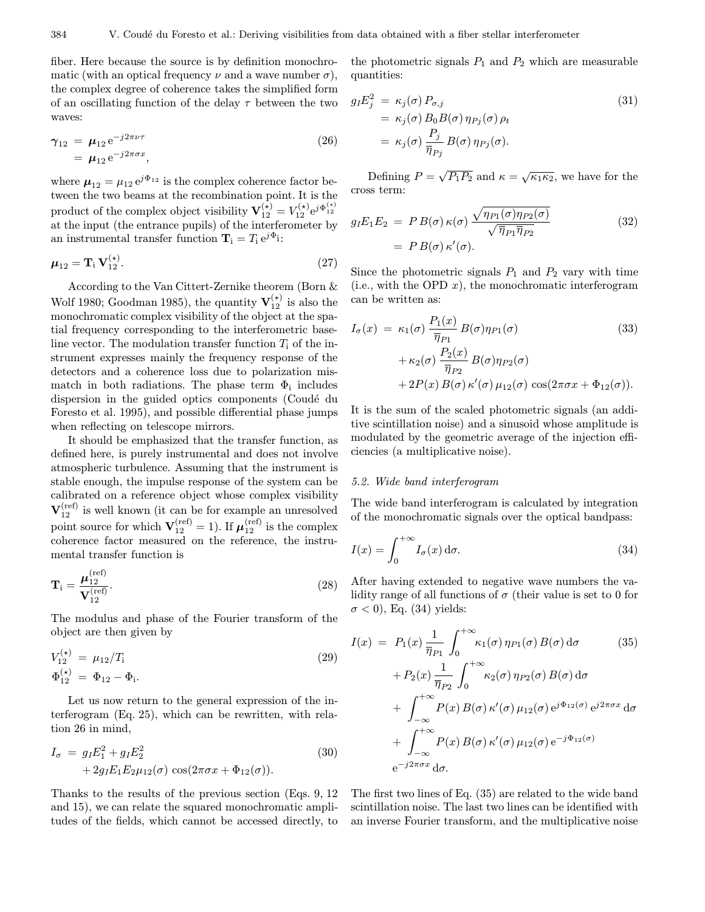fiber. Here because the source is by definition monochromatic (with an optical frequency  $\nu$  and a wave number  $\sigma$ ), the complex degree of coherence takes the simplified form of an oscillating function of the delay  $\tau$  between the two waves:

$$
\gamma_{12} = \mu_{12} e^{-j2\pi\nu\tau} \n= \mu_{12} e^{-j2\pi\sigma x},
$$
\n(26)

where  $\mu_{12} = \mu_{12} e^{j\Phi_{12}}$  is the complex coherence factor between the two beams at the recombination point. It is the product of the complex object visibility  $\mathbf{V}_{12}^{(\star)} = V_{12}^{(\star)} e^{j \Phi_{12}^{(\star)}}$ at the input (the entrance pupils) of the interferometer by an instrumental transfer function  $\mathbf{T}_i = T_i e^{j\Phi_i}$ :

$$
\mu_{12} = \mathbf{T}_{i} \, \mathbf{V}_{12}^{(\star)}.\tag{27}
$$

According to the Van Cittert-Zernike theorem (Born & Wolf 1980; Goodman 1985), the quantity  $\mathbf{V}_{12}^{(\star)}$  is also the monochromatic complex visibility of the object at the spatial frequency corresponding to the interferometric baseline vector. The modulation transfer function  $T_i$  of the instrument expresses mainly the frequency response of the detectors and a coherence loss due to polarization mismatch in both radiations. The phase term  $\Phi_i$  includes dispersion in the guided optics components (Coudé du Foresto et al. 1995), and possible differential phase jumps when reflecting on telescope mirrors.

It should be emphasized that the transfer function, as defined here, is purely instrumental and does not involve atmospheric turbulence. Assuming that the instrument is stable enough, the impulse response of the system can be calibrated on a reference object whose complex visibility  ${\rm\bf V}_{12}^{\rm (ref)}$  is well known (it can be for example an unresolved point source for which  $\mathbf{V}_{12}^{(\mathrm{ref})} = 1$ ). If  $\boldsymbol{\mu}_{12}^{(\mathrm{ref})}$  is the complex coherence factor measured on the reference, the instrumental transfer function is

$$
\mathbf{T}_{\mathbf{i}} = \frac{\boldsymbol{\mu}_{12}^{\text{(ref)}}}{\mathbf{V}_{12}^{\text{(ref)}}}. \tag{28}
$$

The modulus and phase of the Fourier transform of the object are then given by

$$
V_{12}^{(\star)} = \mu_{12}/T_{\rm i}
$$
  
\n
$$
\Phi_{12}^{(\star)} = \Phi_{12} - \Phi_{\rm i}.
$$
\n(29)

Let us now return to the general expression of the interferogram (Eq. 25), which can be rewritten, with relation 26 in mind,

$$
I_{\sigma} = g_I E_1^2 + g_I E_2^2
$$
  
+2g\_I E\_1 E\_2 \mu\_{12}(\sigma) \cos(2\pi \sigma x + \Phi\_{12}(\sigma)). (30)

Thanks to the results of the previous section (Eqs. 9, 12 and 15), we can relate the squared monochromatic amplitudes of the fields, which cannot be accessed directly, to the photometric signals  $P_1$  and  $P_2$  which are measurable quantities:

$$
g_I E_j^2 = \kappa_j(\sigma) P_{\sigma,j}
$$
  
=  $\kappa_j(\sigma) B_0 B(\sigma) \eta_{Pj}(\sigma) \rho_t$   
=  $\kappa_j(\sigma) \frac{P_j}{\overline{\eta}_{Pj}} B(\sigma) \eta_{Pj}(\sigma).$  (31)

Defining  $P = \sqrt{P_1 P_2}$  and  $\kappa = \sqrt{\kappa_1 \kappa_2}$ , we have for the cross term:

$$
g_I E_1 E_2 = P B(\sigma) \kappa(\sigma) \frac{\sqrt{\eta_{P1}(\sigma) \eta_{P2}(\sigma)}}{\sqrt{\overline{\eta}_{P1} \overline{\eta}_{P2}}} \tag{32}
$$

$$
= P B(\sigma) \kappa'(\sigma).
$$

Since the photometric signals  $P_1$  and  $P_2$  vary with time (i.e., with the OPD  $x$ ), the monochromatic interferogram can be written as:

$$
I_{\sigma}(x) = \kappa_1(\sigma) \frac{P_1(x)}{\overline{\eta}_{P1}} B(\sigma) \eta_{P1}(\sigma)
$$
(33)  
+  $\kappa_2(\sigma) \frac{P_2(x)}{\overline{\eta}_{P2}} B(\sigma) \eta_{P2}(\sigma)$   
+  $2P(x) B(\sigma) \kappa'(\sigma) \mu_{12}(\sigma) \cos(2\pi\sigma x + \Phi_{12}(\sigma)).$ 

It is the sum of the scaled photometric signals (an additive scintillation noise) and a sinusoid whose amplitude is modulated by the geometric average of the injection efficiencies (a multiplicative noise).

# 5.2. Wide band interferogram

The wide band interferogram is calculated by integration of the monochromatic signals over the optical bandpass:

$$
I(x) = \int_0^{+\infty} I_{\sigma}(x) d\sigma.
$$
 (34)

After having extended to negative wave numbers the validity range of all functions of  $\sigma$  (their value is set to 0 for  $\sigma$  < 0), Eq. (34) yields:

$$
I(x) = P_1(x) \frac{1}{\overline{\eta}_{P1}} \int_0^{+\infty} \kappa_1(\sigma) \eta_{P1}(\sigma) B(\sigma) d\sigma
$$
 (35)  
+ 
$$
P_2(x) \frac{1}{\overline{\eta}_{P2}} \int_0^{+\infty} \kappa_2(\sigma) \eta_{P2}(\sigma) B(\sigma) d\sigma
$$
  
+ 
$$
\int_{-\infty}^{+\infty} P(x) B(\sigma) \kappa'(\sigma) \mu_{12}(\sigma) e^{j\Phi_{12}(\sigma)} e^{j2\pi\sigma x} d\sigma
$$
  
+ 
$$
\int_{-\infty}^{+\infty} P(x) B(\sigma) \kappa'(\sigma) \mu_{12}(\sigma) e^{-j\Phi_{12}(\sigma)}
$$
  

$$
e^{-j2\pi\sigma x} d\sigma.
$$

The first two lines of Eq. (35) are related to the wide band scintillation noise. The last two lines can be identified with an inverse Fourier transform, and the multiplicative noise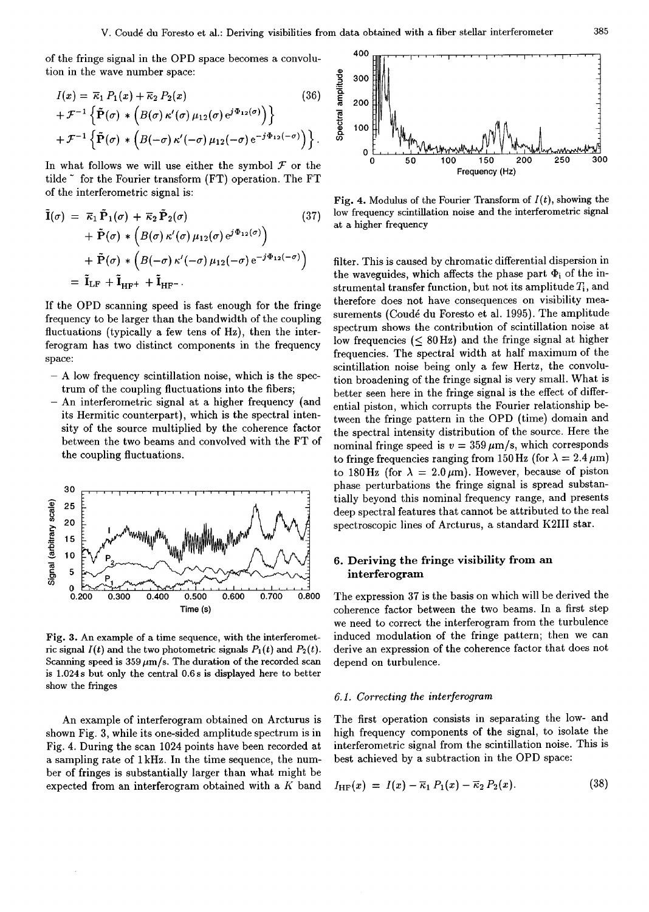of the fringe signal in the OPD space becomes a convolution in the wave number space:

$$
I(x) = \overline{\kappa}_1 P_1(x) + \overline{\kappa}_2 P_2(x)
$$
(36)  
+  $\mathcal{F}^{-1} \left\{ \tilde{P}(\sigma) * (B(\sigma) \kappa'(\sigma) \mu_{12}(\sigma) e^{j\Phi_{12}(\sigma)}) \right\}$   
+  $\mathcal{F}^{-1} \left\{ \tilde{P}(\sigma) * (B(-\sigma) \kappa'(-\sigma) \mu_{12}(-\sigma) e^{-j\Phi_{12}(-\sigma)}) \right\}.$ 

In what follows we will use either the symbol  $\mathcal F$  or the tilde ~ for the Fourier transform (FT) operation. The FT of the interferometric signal is:

$$
\tilde{\mathbf{I}}(\sigma) = \overline{\kappa}_1 \tilde{\mathbf{P}}_1(\sigma) + \overline{\kappa}_2 \tilde{\mathbf{P}}_2(\sigma) \qquad (37)
$$
\n
$$
+ \tilde{\mathbf{P}}(\sigma) * (B(\sigma) \kappa'(\sigma) \mu_{12}(\sigma) e^{j\Phi_{12}(\sigma)})
$$
\n
$$
+ \tilde{\mathbf{P}}(\sigma) * (B(-\sigma) \kappa'(-\sigma) \mu_{12}(-\sigma) e^{-j\Phi_{12}(-\sigma)})
$$
\n
$$
= \tilde{\mathbf{I}}_{\text{LF}} + \tilde{\mathbf{I}}_{\text{HF}} + \tilde{\mathbf{I}}_{\text{HF}}.
$$

If the OPD scanning speed is fast enough for the fringe frequency to be larger than the bandwidth of the coupling fluctuations (typically a few tens of Hz), then the interferogram has two distinct components in the frequency space:

- A low frequency scintillation noise, which is the spectrum of the coupling fluctuations into the fibers;
- An interferometric signal at a higher frequency (and its Hermitic counterpart), which is the spectral intensity of the source multiplied by the coherence factor between the two beams and convolved with the FT of the coupling fluctuations.



Fig. 3. An example of a time sequence, with the interferometric signal  $I(t)$  and the two photometric signals  $P_1(t)$  and  $P_2(t)$ . Scanning speed is  $359 \mu m/s$ . The duration of the recorded scan is 1.024s but only the central 0.6s is displayed here to better show the fringes

An example of interferogram obtained on Arcturus is shown Fig. 3, while its one-sided amplitude spectrum is in Fig. 4. During the scan 1024 points have been recorded at a sampling rate of 1 kHz. In the time sequence, the number of fringes is substantially larger than what might be expected from an interferogram obtained with a  $K$  band



Fig. 4. Modulus of the Fourier Transform of  $I(t)$ , showing the low frequency scintillation noise and the interferometric signal at a higher frequency

filter. This is caused by chromatic differential dispersion in the waveguides, which affects the phase part  $\Phi_i$  of the instrumental transfer function, but not its amplitude  $T_i$ , and therefore does not have consequences on visibility measurements (Coudé du Foresto et al. 1995). The amplitude spectrum shows the contribution of scintillation noise at low frequencies  $(< 80$  Hz) and the fringe signal at higher frequencies. The spectral width at half maximum of the scintillation noise being only a few Hertz, the convolution broadening of the fringe signal is very small. What is better seen here in the fringe signal is the effect of differential piston, which corrupts the Fourier relationship between the fringe pattern in the OPD (time) domain and the spectral intensity distribution of the source. Here the nominal fringe speed is  $v = 359 \,\mu \text{m/s}$ , which corresponds to fringe frequencies ranging from 150 Hz (for  $\lambda = 2.4 \,\mu\text{m}$ ) to 180 Hz (for  $\lambda = 2.0 \,\mu\text{m}$ ). However, because of piston phase perturbations the fringe signal is spread substantially beyond this nominal frequency range, and presents deep spectral features that cannot be attributed to the real spectroscopic lines of Arcturus, a standard K2III star.

# 6. Deriving the fringe visibility from an interferogram

The expression 37 is the basis on which will be derived the coherence factor between the two beams. In a first step we need to correct the interferogram from the turbulence induced modulation of the fringe pattern; then we can derive an expression of the coherence factor that does not depend on turbulence.

#### 6.1. Correcting the interferogram

The first operation consists in separating the low- and high frequency components of the signal, to isolate the interferometric signal from the scintillation noise. This is best achieved by a subtraction in the OPD space:

$$
I_{\text{HF}}(x) = I(x) - \overline{\kappa}_1 P_1(x) - \overline{\kappa}_2 P_2(x). \tag{38}
$$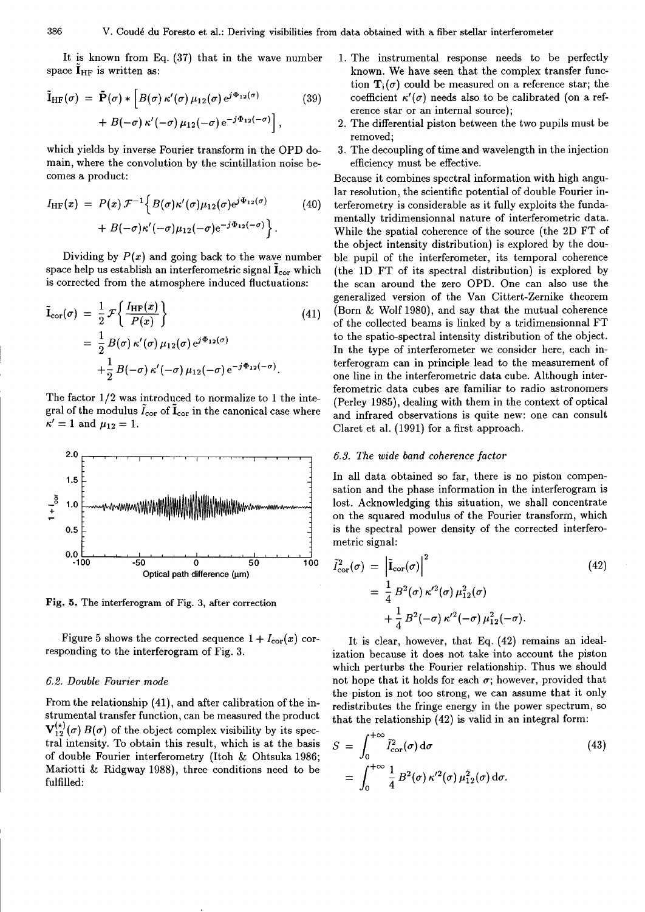It is known from Eq. (37) that in the wave number space  $I_{HF}$  is written as:

$$
\tilde{\mathbf{I}}_{\mathrm{HF}}(\sigma) = \tilde{\mathbf{P}}(\sigma) * \left[ B(\sigma) \kappa'(\sigma) \mu_{12}(\sigma) e^{j\Phi_{12}(\sigma)} \right. \tag{39}
$$
\n
$$
+ B(-\sigma) \kappa'(-\sigma) \mu_{12}(-\sigma) e^{-j\Phi_{12}(-\sigma)} \right],
$$

which yields by inverse Fourier transform in the OPD domain, where the convolution by the scintillation noise becomes a product:

$$
I_{\mathrm{HF}}(x) = P(x) \mathcal{F}^{-1} \Big\{ B(\sigma) \kappa'(\sigma) \mu_{12}(\sigma) e^{j\Phi_{12}(\sigma)} + B(-\sigma) \kappa'(-\sigma) \mu_{12}(-\sigma) e^{-j\Phi_{12}(-\sigma)} \Big\}.
$$
\n(40)

Dividing by  $P(x)$  and going back to the wave number space help us establish an interferometric signal  $I_{\rm cor}$  which is corrected from the atmosphere induced fluctuations:

$$
\tilde{\mathbf{I}}_{\text{cor}}(\sigma) = \frac{1}{2} \mathcal{F} \left\{ \frac{I_{\text{HF}}(x)}{P(x)} \right\} \n= \frac{1}{2} B(\sigma) \kappa'(\sigma) \mu_{12}(\sigma) e^{j\Phi_{12}(\sigma)} \n+ \frac{1}{2} B(-\sigma) \kappa'(-\sigma) \mu_{12}(-\sigma) e^{-j\Phi_{12}(-\sigma)}.
$$
\n(41)

The factor  $1/2$  was introduced to normalize to 1 the integral of the modulus  $I_{\rm cor}$  of  $I_{\rm cor}$  in the canonical case where  $\kappa' = 1$  and  $\mu_{12} = 1$ .



Fig. 5. The interferogram of Fig. 3, after correction

Figure 5 shows the corrected sequence  $1 + I_{\text{cor}}(x)$  corresponding to the interferogram of Fig. 3.

# 6.2. Double Fourier mode

From the relationship (41), and after calibration of the instrumental transfer function, can be measured the product  $\mathbf{V}_{12}^{(\star)}(\sigma) B(\sigma)$  of the object complex visibility by its spectral intensity. To obtain this result, which is at the basis of double Fourier interferometry (Itoh & Ohtsuka 1986; Mariotti & Ridgway 1988), three conditions need to be fulfilled:

- 1. The instrumental response needs to be perfectly known. We have seen that the complex transfer function  $\mathbf{T}_i(\sigma)$  could be measured on a reference star; the coefficient  $\kappa'(\sigma)$  needs also to be calibrated (on a reference star or an internal source);
- 2. The differential piston between the two pupils must be removed;
- 3. The decoupling of time and wavelength in the injection efficiency must be effective.

Because it combines spectral information with high angular resolution, the scientific potential of double Fourier interferometry is considerable as it fully exploits the fundamentally tridimensionnal nature of interferometric data. While the spatial coherence of the source (the 2D FT of the object intensity distribution) is explored by the double pupil of the interferometer, its temporal coherence (the 1D FT of its spectral distribution) is explored by the scan around the zero OPD. One can also use the generalized version of the Van Cittert-Zernike theorem (Born & Wolf 1980), and say that the mutual coherence of the collected beams is linked by a tridimensionnal FT to the spatio-spectral intensity distribution of the object. In the type of interferometer we consider here, each interferogram can in principle lead to the measurement of one line in the interferometric data cube. Although interferometric data cubes are familiar to radio astronomers (Perley 1985), dealing with them in the context of optical and infrared observations is quite new: one can consult Claret et al. (1991) for a first approach.

#### 6.3. The wide band coherence factor

In all data obtained so far, there is no piston compensation and the phase information in the interferogram is lost. Acknowledging this situation, we shall concentrate on the squared modulus of the Fourier transform, which is the spectral power density of the corrected interferometric signal:

$$
\tilde{I}_{\text{cor}}^{2}(\sigma) = \left| \tilde{\mathbf{I}}_{\text{cor}}(\sigma) \right|^{2} \tag{42}
$$
\n
$$
= \frac{1}{4} B^{2}(\sigma) \kappa'^{2}(\sigma) \mu_{12}^{2}(\sigma)
$$
\n
$$
+ \frac{1}{4} B^{2}(-\sigma) \kappa'^{2}(-\sigma) \mu_{12}^{2}(-\sigma).
$$

It is clear, however, that Eq. (42) remains an idealization because it does not take into account the piston which perturbs the Fourier relationship. Thus we should not hope that it holds for each  $\sigma$ ; however, provided that the piston is not too strong, we can assume that it only redistributes the fringe energy in the power spectrum, so that the relationship (42) is valid in an integral form:

$$
S = \int_0^{+\infty} \tilde{I}_{\text{cor}}^2(\sigma) d\sigma
$$
  
= 
$$
\int_0^{+\infty} \frac{1}{4} B^2(\sigma) \kappa'^2(\sigma) \mu_{12}^2(\sigma) d\sigma.
$$
 (43)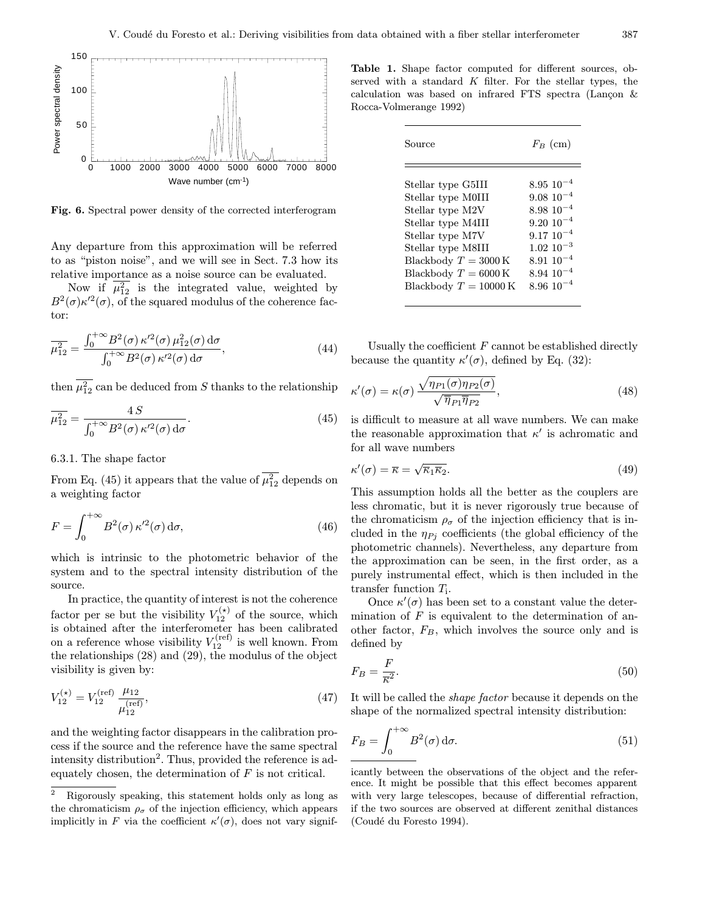**β** 



Fig. 6. Spectral power density of the corrected interferogram

Any departure from this approximation will be referred to as "piston noise", and we will see in Sect. 7.3 how its relative importance as a noise source can be evaluated.

Now if  $\overline{\mu_{12}^2}$  is the integrated value, weighted by  $B^2(\sigma)\kappa^2(\sigma)$ , of the squared modulus of the coherence factor:

$$
\overline{\mu_{12}^2} = \frac{\int_0^{+\infty} B^2(\sigma) \,\kappa'^2(\sigma) \,\mu_{12}^2(\sigma) \,d\sigma}{\int_0^{+\infty} B^2(\sigma) \,\kappa'^2(\sigma) \,d\sigma},\tag{44}
$$

then  $\mu_{12}^2$  can be deduced from S thanks to the relationship

$$
\overline{\mu_{12}^2} = \frac{4S}{\int_0^{+\infty} B^2(\sigma) \,\kappa'^2(\sigma) \,\mathrm{d}\sigma}.\tag{45}
$$

6.3.1. The shape factor

From Eq. (45) it appears that the value of  $\mu_{12}^2$  depends on a weighting factor

$$
F = \int_0^{+\infty} B^2(\sigma) \,\kappa'^2(\sigma) \,d\sigma,\tag{46}
$$

which is intrinsic to the photometric behavior of the system and to the spectral intensity distribution of the source.

In practice, the quantity of interest is not the coherence factor per se but the visibility  $V_{12}^{(\star)}$  of the source, which is obtained after the interferometer has been calibrated on a reference whose visibility  $V_{12}^{(\text{ref})}$  is well known. From the relationships (28) and (29), the modulus of the object visibility is given by:

$$
V_{12}^{(\star)} = V_{12}^{\text{(ref)}} \frac{\mu_{12}}{\mu_{12}^{\text{(ref)}}},\tag{47}
$$

and the weighting factor disappears in the calibration process if the source and the reference have the same spectral intensity distribution<sup>2</sup>. Thus, provided the reference is adequately chosen, the determination of  $F$  is not critical.

Table 1. Shape factor computed for different sources, observed with a standard  $K$  filter. For the stellar types, the calculation was based on infrared FTS spectra (Lançon  $\&$ Rocca-Volmerange 1992)

| Source                          | $F_B$ (cm)        |
|---------------------------------|-------------------|
| Stellar type G5III              | $8.95\;10^{-4}$   |
| Stellar type M0III              | $9.08~10^{-4}$    |
| Stellar type M2V                | $8.98\ 10^{-4}$   |
| Stellar type M4III              | $9.20 \; 10^{-4}$ |
| Stellar type M7V                | $9.17~10^{-4}$    |
| Stellar type M8III              | $1.02 \; 10^{-3}$ |
| Blackbody $T = 3000 \text{ K}$  | $8.9110^{-4}$     |
| Blackbody $T = 6000 \text{ K}$  | $8.94 \; 10^{-4}$ |
| Blackbody $T = 10000 \text{ K}$ | $8.96 10^{-4}$    |

Usually the coefficient  $F$  cannot be established directly because the quantity  $\kappa'(\sigma)$ , defined by Eq. (32):

$$
\kappa'(\sigma) = \kappa(\sigma) \frac{\sqrt{\eta_{P1}(\sigma)\eta_{P2}(\sigma)}}{\sqrt{\overline{\eta}_{P1}\overline{\eta}_{P2}}},
$$
\n(48)

is difficult to measure at all wave numbers. We can make the reasonable approximation that  $\kappa'$  is achromatic and for all wave numbers

$$
s'(\sigma) = \overline{\kappa} = \sqrt{\overline{\kappa}_1 \overline{\kappa}_2}.
$$
\n(49)

This assumption holds all the better as the couplers are less chromatic, but it is never rigorously true because of the chromaticism  $\rho_{\sigma}$  of the injection efficiency that is included in the  $\eta_{Pj}$  coefficients (the global efficiency of the photometric channels). Nevertheless, any departure from the approximation can be seen, in the first order, as a purely instrumental effect, which is then included in the transfer function  $T_i$ .

Once  $\kappa'(\sigma)$  has been set to a constant value the determination of  $F$  is equivalent to the determination of another factor,  $F_B$ , which involves the source only and is defined by

$$
F_B = \frac{F}{\overline{\kappa}^2}.\tag{50}
$$

It will be called the shape factor because it depends on the shape of the normalized spectral intensity distribution:

$$
F_B = \int_0^{+\infty} B^2(\sigma) d\sigma.
$$
 (51)

<sup>2</sup> Rigorously speaking, this statement holds only as long as the chromaticism  $\rho_{\sigma}$  of the injection efficiency, which appears implicitly in F via the coefficient  $\kappa'(\sigma)$ , does not vary signif-

icantly between the observations of the object and the reference. It might be possible that this effect becomes apparent with very large telescopes, because of differential refraction, if the two sources are observed at different zenithal distances (Coudé du Foresto 1994).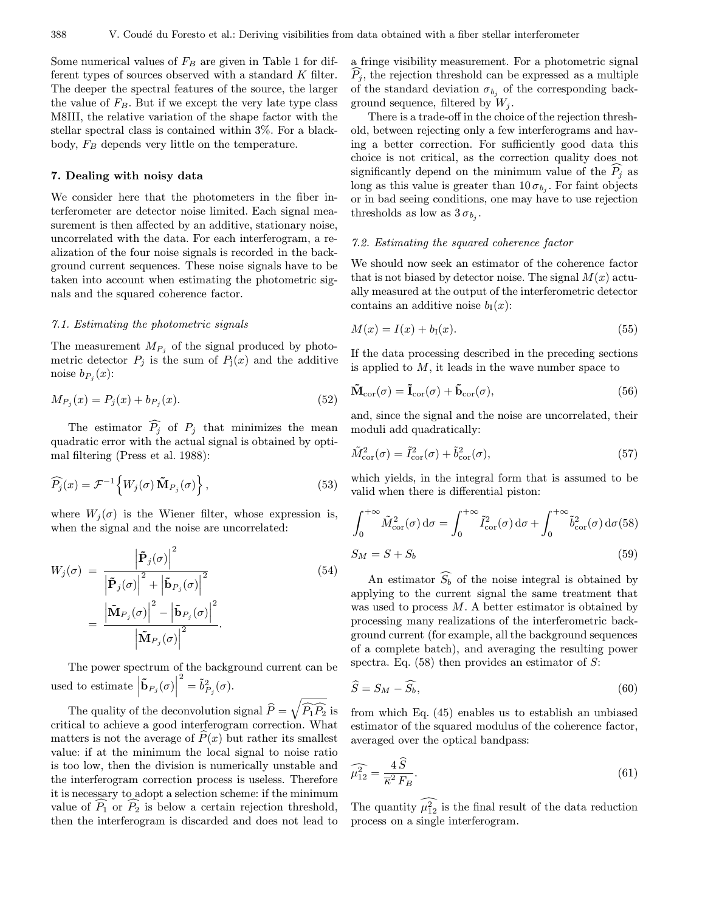Some numerical values of  $F_B$  are given in Table 1 for different types of sources observed with a standard K filter. The deeper the spectral features of the source, the larger the value of  $F_B$ . But if we except the very late type class M8III, the relative variation of the shape factor with the stellar spectral class is contained within 3%. For a blackbody,  $F_B$  depends very little on the temperature.

# 7. Dealing with noisy data

We consider here that the photometers in the fiber interferometer are detector noise limited. Each signal measurement is then affected by an additive, stationary noise, uncorrelated with the data. For each interferogram, a realization of the four noise signals is recorded in the background current sequences. These noise signals have to be taken into account when estimating the photometric signals and the squared coherence factor.

#### 7.1. Estimating the photometric signals

The measurement  $M_{P_j}$  of the signal produced by photometric detector  $P_j$  is the sum of  $P_j(x)$  and the additive noise  $b_{P_i}(x)$ :

$$
M_{P_j}(x) = P_j(x) + b_{P_j}(x). \tag{52}
$$

The estimator  $P_j$  of  $P_j$  that minimizes the mean<br>dust comes with the estual signal is obtained by entiquadratic error with the actual signal is obtained by optimal filtering (Press et al. 1988):

$$
\widehat{P_j}(x) = \mathcal{F}^{-1}\Big\{W_j(\sigma)\,\widetilde{\mathbf{M}}_{P_j}(\sigma)\Big\}\,,\tag{53}
$$

where  $W_i(\sigma)$  is the Wiener filter, whose expression is, when the signal and the noise are uncorrelated:

$$
W_j(\sigma) = \frac{\left| \tilde{\mathbf{P}}_j(\sigma) \right|^2}{\left| \tilde{\mathbf{P}}_j(\sigma) \right|^2 + \left| \tilde{\mathbf{b}}_{P_j}(\sigma) \right|^2}
$$
\n
$$
= \frac{\left| \tilde{\mathbf{M}}_{P_j}(\sigma) \right|^2 - \left| \tilde{\mathbf{b}}_{P_j}(\sigma) \right|^2}{\left| \tilde{\mathbf{M}}_{P_j}(\sigma) \right|^2}.
$$
\n(54)

The power spectrum of the background current can be used to estimate  $\left| \mathbf{\tilde{b}}_{P_j}(\sigma) \right|$  $\overset{2}{\phantom{.}}=\tilde{b}_{P_{j}}^{2}(\sigma).$ 

The quality of the deconvolution signal  $\widehat{P} = \sqrt{\widehat{P}_1 \widehat{P}_2}$  is critical to achieve a good interferogram correction. What matters is not the average of  $\widehat{P}(x)$  but rather its smallest value: if at the minimum the local signal to noise ratio is too low, then the division is numerically unstable and the interferogram correction process is useless. Therefore it is necessary to adopt a selection scheme: if the minimum value of  $P_1$  or  $P_2$  is below a certain rejection threshold,<br>then the interferences is disconded and does not lead to then the interferogram is discarded and does not lead to

a fringe visibility measurement. For a photometric signal  $P_j$ , the rejection threshold can be expressed as a multiple of the standard deviation  $\sigma_{b_i}$  of the corresponding background sequence, filtered by  $W_i$ .

There is a trade-off in the choice of the rejection threshold, between rejecting only a few interferograms and having a better correction. For sufficiently good data this choice is not critical, as the correction quality does not significantly depend on the minimum value of the  $P_j$  as<br>dang as this value is greater than 10  $\pi$ . For faint abjects long as this value is greater than  $10\sigma_{b_i}$ . For faint objects or in bad seeing conditions, one may have to use rejection thresholds as low as  $3 \sigma_{b_i}$ .

#### 7.2. Estimating the squared coherence factor

We should now seek an estimator of the coherence factor that is not biased by detector noise. The signal  $M(x)$  actually measured at the output of the interferometric detector contains an additive noise  $b_I(x)$ :

$$
M(x) = I(x) + b_{\rm I}(x). \tag{55}
$$

If the data processing described in the preceding sections is applied to  $M$ , it leads in the wave number space to

$$
\tilde{\mathbf{M}}_{\text{cor}}(\sigma) = \tilde{\mathbf{I}}_{\text{cor}}(\sigma) + \tilde{\mathbf{b}}_{\text{cor}}(\sigma),
$$
\n(56)

and, since the signal and the noise are uncorrelated, their moduli add quadratically:

$$
\tilde{M}_{\text{cor}}^2(\sigma) = \tilde{I}_{\text{cor}}^2(\sigma) + \tilde{b}_{\text{cor}}^2(\sigma),\tag{57}
$$

which yields, in the integral form that is assumed to be valid when there is differential piston:

$$
\int_0^{+\infty} \tilde{M}_{\text{cor}}^2(\sigma) d\sigma = \int_0^{+\infty} \tilde{I}_{\text{cor}}^2(\sigma) d\sigma + \int_0^{+\infty} \tilde{b}_{\text{cor}}^2(\sigma) d\sigma (58)
$$

$$
S_M = S + S_b \tag{59}
$$

An estimator  $\widehat{S_b}$  of the noise integral is obtained by applying to the current signal the same treatment that was used to process  $M$ . A better estimator is obtained by processing many realizations of the interferometric background current (for example, all the background sequences of a complete batch), and averaging the resulting power spectra. Eq.  $(58)$  then provides an estimator of S:

$$
\widehat{S} = S_M - \widehat{S_b},\tag{60}
$$

from which Eq. (45) enables us to establish an unbiased estimator of the squared modulus of the coherence factor, averaged over the optical bandpass:

$$
\widehat{\mu_{12}^2} = \frac{4\,\hat{S}}{\overline{\kappa^2}\,F_B}.\tag{61}
$$

The quantity  $\mu_{12}^2$  is the final result of the data reduction process on a single interferogram.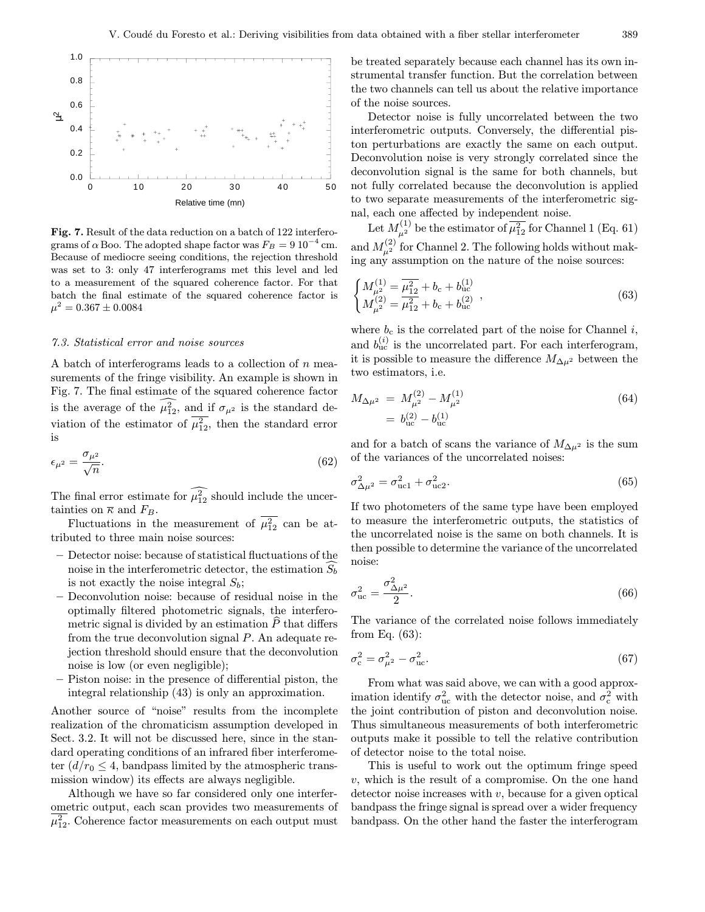

Fig. 7. Result of the data reduction on a batch of 122 interferograms of  $\alpha$  Boo. The adopted shape factor was  $F_B = 9 10^{-4}$  cm. Because of mediocre seeing conditions, the rejection threshold was set to 3: only 47 interferograms met this level and led to a measurement of the squared coherence factor. For that batch the final estimate of the squared coherence factor is  $\mu^2 = 0.367 \pm 0.0084$ 

#### 7.3. Statistical error and noise sources

A batch of interferograms leads to a collection of n measurements of the fringe visibility. An example is shown in Fig. 7. The final estimate of the squared coherence factor is the average of the  $\mu_{12}^2$ , and if  $\sigma_{\mu^2}$  is the standard deviation of the estimator of  $\mu_{12}^2$ , then the standard error is

$$
\epsilon_{\mu^2} = \frac{\sigma_{\mu^2}}{\sqrt{n}}.\tag{62}
$$

The final error estimate for  $\mu_{12}^2$  should include the uncertainties on  $\overline{\kappa}$  and  $F_B$ .

Fluctuations in the measurement of  $\mu_{12}^2$  can be attributed to three main noise sources:

- Detector noise: because of statistical fluctuations of the noise in the interferometric detector, the estimation  $\widehat{S_b}$ is not exactly the noise integral  $S_b$ ;
- Deconvolution noise: because of residual noise in the optimally filtered photometric signals, the interferometric signal is divided by an estimation  $P$  that differs from the true deconvolution signal P. An adequate rejection threshold should ensure that the deconvolution noise is low (or even negligible);
- Piston noise: in the presence of differential piston, the integral relationship (43) is only an approximation.

Another source of "noise" results from the incomplete realization of the chromaticism assumption developed in Sect. 3.2. It will not be discussed here, since in the standard operating conditions of an infrared fiber interferometer  $(d/r_0 \leq 4$ , bandpass limited by the atmospheric transmission window) its effects are always negligible.

Although we have so far considered only one interferometric output, each scan provides two measurements of  $\mu_{12}^2$ . Coherence factor measurements on each output must

be treated separately because each channel has its own instrumental transfer function. But the correlation between the two channels can tell us about the relative importance of the noise sources.

Detector noise is fully uncorrelated between the two interferometric outputs. Conversely, the differential piston perturbations are exactly the same on each output. Deconvolution noise is very strongly correlated since the deconvolution signal is the same for both channels, but not fully correlated because the deconvolution is applied to two separate measurements of the interferometric signal, each one affected by independent noise.

Let  $M^{(1)}_{\mu^2}$  be the estimator of  $\overline{\mu_{12}^2}$  for Channel 1 (Eq. 61) and  $M^{(2)}_{\mu^2}$  for Channel 2. The following holds without making any assumption on the nature of the noise sources:

$$
\begin{cases}\nM_{\mu^2}^{(1)} = \overline{\mu_{12}^2} + b_c + b_{\text{uc}}^{(1)} \\
M_{\mu^2}^{(2)} = \overline{\mu_{12}^2} + b_c + b_{\text{uc}}^{(2)}\n\end{cases},
$$
\n(63)

where  $b_c$  is the correlated part of the noise for Channel i, and  $b_{\text{uc}}^{(i)}$  is the uncorrelated part. For each interferogram, it is possible to measure the difference  $M_{\Delta\mu^2}$  between the two estimators, i.e.

$$
M_{\Delta\mu^2} = M_{\mu^2}^{(2)} - M_{\mu^2}^{(1)}
$$
  
=  $b_{\text{uc}}^{(2)} - b_{\text{uc}}^{(1)}$  (64)

and for a batch of scans the variance of  $M_{\Delta\mu^2}$  is the sum of the variances of the uncorrelated noises:

$$
\sigma_{\Delta\mu^2}^2 = \sigma_{\text{ucl}}^2 + \sigma_{\text{ucl}}^2. \tag{65}
$$

If two photometers of the same type have been employed to measure the interferometric outputs, the statistics of the uncorrelated noise is the same on both channels. It is then possible to determine the variance of the uncorrelated noise:

$$
\sigma_{\rm uc}^2 = \frac{\sigma_{\Delta \mu^2}^2}{2}.\tag{66}
$$

The variance of the correlated noise follows immediately from Eq. (63):

$$
\sigma_{\rm c}^2 = \sigma_{\mu^2}^2 - \sigma_{\rm uc}^2. \tag{67}
$$

From what was said above, we can with a good approximation identify  $\sigma_{\text{uc}}^2$  with the detector noise, and  $\sigma_{\text{c}}^2$  with the joint contribution of piston and deconvolution noise. Thus simultaneous measurements of both interferometric outputs make it possible to tell the relative contribution of detector noise to the total noise.

This is useful to work out the optimum fringe speed v, which is the result of a compromise. On the one hand detector noise increases with  $v$ , because for a given optical bandpass the fringe signal is spread over a wider frequency bandpass. On the other hand the faster the interferogram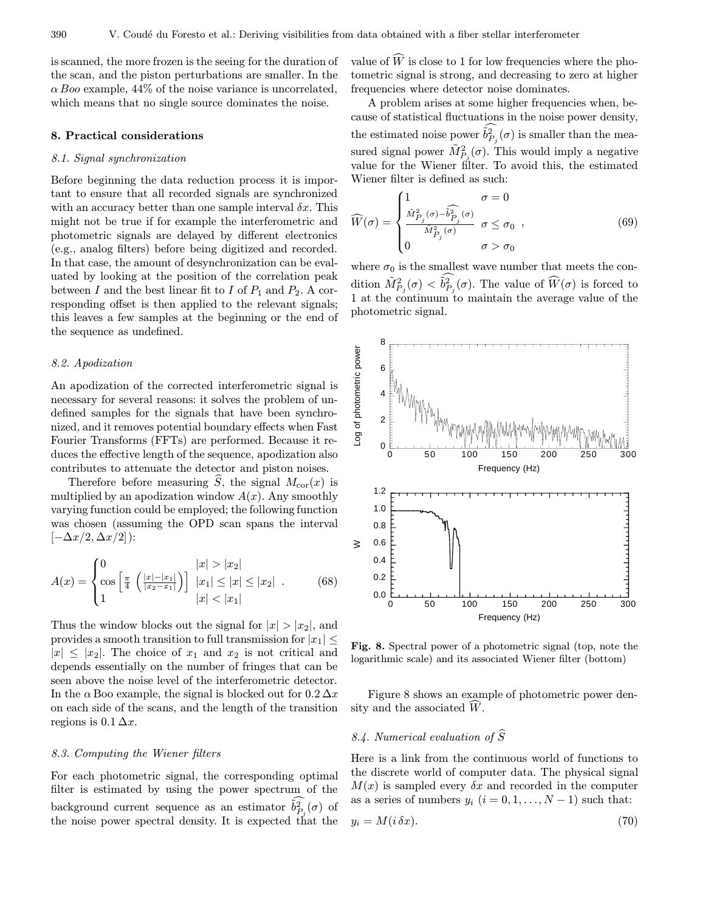is scanned, the more frozen is the seeing for the duration of the scan, and the piston perturbations are smaller. In the  $\alpha$  Boo example, 44% of the noise variance is uncorrelated, which means that no single source dominates the noise.

#### 8. Practical considerations

#### 8.1. Signal synchronization

Before beginning the data reduction process it is important to ensure that all recorded signals are synchronized with an accuracy better than one sample interval  $\delta x$ . This might not be true if for example the interferometric and photometric signals are delayed by different electronics (e.g., analog filters) before being digitized and recorded. In that case, the amount of desynchronization can be evaluated by looking at the position of the correlation peak between I and the best linear fit to I of  $P_1$  and  $P_2$ . A corresponding offset is then applied to the relevant signals; this leaves a few samples at the beginning or the end of the sequence as undefined.

#### 8.2. Apodization

An apodization of the corrected interferometric signal is necessary for several reasons: it solves the problem of undefined samples for the signals that have been synchronized, and it removes potential boundary effects when Fast Fourier Transforms (FFTs) are performed. Because it reduces the effective length of the sequence, apodization also contributes to attenuate the detector and piston noises.

Therefore before measuring  $\hat{S}$ , the signal  $M_{\text{cor}}(x)$  is multiplied by an apodization window  $A(x)$ . Any smoothly varying function could be employed; the following function was chosen (assuming the OPD scan spans the interval  $[-\Delta x/2, \Delta x/2]$ :

$$
A(x) = \begin{cases} 0 & |x| > |x_2| \\ \cos\left[\frac{\pi}{4} \left(\frac{|x| - |x_1|}{|x_2 - x_1|}\right)\right] & |x_1| \le |x| \le |x_2| \\ 1 & |x| < |x_1| \end{cases} \tag{68}
$$

Thus the window blocks out the signal for  $|x| > |x_2|$ , and provides a smooth transition to full transmission for  $|x_1| \leq$  $|x|\leq |x_2|$ . The choice of  $x_1$  and  $x_2$  is not critical and depends essentially on the number of fringes that can be seen above the noise level of the interferometric detector. In the  $\alpha$  Boo example, the signal is blocked out for  $0.2 \Delta x$ on each side of the scans, and the length of the transition regions is  $0.1 \Delta x$ .

#### 8.3. Computing the Wiener filters

For each photometric signal, the corresponding optimal filter is estimated by using the power spectrum of the background current sequence as an estimator  $\tilde{b}_{P_j}^2(\sigma)$  of the noise power spectral density. It is expected that the

value of  $W$  is close to 1 for low frequencies where the pho-<br>terms simplifications and degreesing to see at higher tometric signal is strong, and decreasing to zero at higher frequencies where detector noise dominates.

A problem arises at some higher frequencies when, because of statistical fluctuations in the noise power density, the estimated noise power  $\tilde{b}_{P_j}^2(\sigma)$  is smaller than the measured signal power  $\tilde{M}_{P_j}^2(\sigma)$ . This would imply a negative value for the Wiener filter. To avoid this, the estimated Wiener filter is defined as such:

$$
\widehat{W}(\sigma) = \begin{cases}\n1 & \sigma = 0 \\
\frac{\tilde{M}_{P_j}^2(\sigma) - \tilde{b}_{P_j}^2(\sigma)}{\tilde{M}_{P_j}^2(\sigma)} & \sigma \le \sigma_0 , \\
0 & \sigma > \sigma_0\n\end{cases}
$$
\n(69)

where  $\sigma_0$  is the smallest wave number that meets the condition  $\tilde{M}_{P_j}^2(\sigma) < \tilde{b}_{P_j}^2(\sigma)$ . The value of  $\widehat{W}(\sigma)$  is forced to 1 at the continuum to maintain the average value of the photometric signal.



Fig. 8. Spectral power of a photometric signal (top, note the logarithmic scale) and its associated Wiener filter (bottom)

Figure 8 shows an example of photometric power density and the associated  $W$ .

# 8.4. Numerical evaluation of  $\widehat{S}$

Here is a link from the continuous world of functions to the discrete world of computer data. The physical signal  $M(x)$  is sampled every  $\delta x$  and recorded in the computer as a series of numbers  $y_i$   $(i = 0, 1, \ldots, N - 1)$  such that:

$$
y_i = M(i \,\delta x). \tag{70}
$$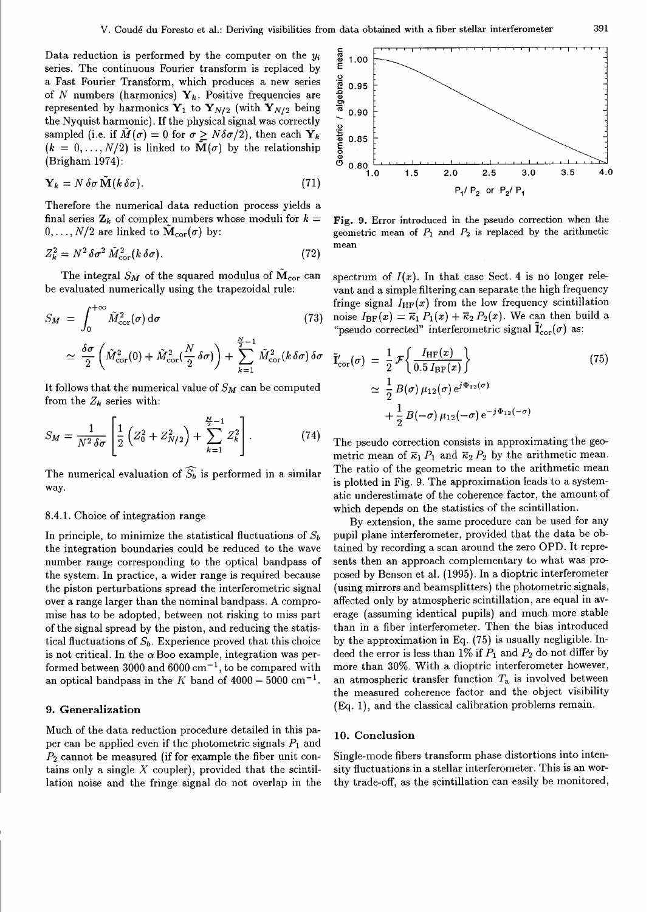Data reduction is performed by the computer on the  $y_i$ series. The continuous Fourier transform is replaced by a Fast Fourier Transform, which produces a new series of N numbers (harmonics)  $Y_k$ . Positive frequencies are represented by harmonics  $\mathbf{Y}_1$  to  $\mathbf{Y}_{N/2}$  (with  $\mathbf{Y}_{N/2}$  being the Nyquist harmonic). If the physical signal was correctly sampled (i.e. if  $\tilde{M}(\sigma) = 0$  for  $\sigma > N \delta \sigma/2$ ), then each  $Y_k$  $(k = 0, \ldots, N/2)$  is linked to  $\tilde{\mathbf{M}}(\sigma)$  by the relationship (Brigham 1974):

$$
\mathbf{Y}_k = N \,\delta\sigma \,\tilde{\mathbf{M}}(k \,\delta\sigma). \tag{71}
$$

Therefore the numerical data reduction process yields a final series  $\mathbf{Z}_k$  of complex numbers whose moduli for  $k =$  $0, \ldots, N/2$  are linked to  $\tilde{M}_{cor}(\sigma)$  by:

$$
Z_k^2 = N^2 \delta \sigma^2 \tilde{M}_{\text{cor}}^2 (k \delta \sigma). \tag{72}
$$

The integral  $S_M$  of the squared modulus of  $\tilde{M}_{cor}$  can be evaluated numerically using the trapezoidal rule:

$$
S_M = \int_0^{+\infty} \tilde{M}_{\text{cor}}^2(\sigma) d\sigma \qquad (73)
$$

$$
\simeq \frac{\delta \sigma}{2} \left( \tilde{M}_{\text{cor}}^2(0) + \tilde{M}_{\text{cor}}^2(\frac{N}{2} \delta \sigma) \right) + \sum_{k=1}^{\frac{N}{2}-1} \tilde{M}_{\text{cor}}^2(k \delta \sigma) \delta \sigma
$$

It follows that the numerical value of  $S_M$  can be computed from the  $Z_k$  series with:

$$
S_M = \frac{1}{N^2 \delta \sigma} \left[ \frac{1}{2} \left( Z_0^2 + Z_{N/2}^2 \right) + \sum_{k=1}^{\frac{N}{2}-1} Z_k^2 \right]. \tag{74}
$$

The numerical evaluation of  $\widehat{S_b}$  is performed in a similar way.

#### 8.4.1. Choice of integration range

In principle, to minimize the statistical fluctuations of  $S_b$ the integration boundaries could be reduced to the wave number range corresponding to the optical bandpass of the system. In practice, a wider range is required because the piston perturbations spread the interferometric signal over a range larger than the nominal bandpass. A compromise has to be adopted, between not risking to miss part of the signal spread by the piston, and reducing the statistical fluctuations of  $S_b$ . Experience proved that this choice is not critical. In the  $\alpha$  Boo example, integration was performed between 3000 and  $6000 \text{ cm}^{-1}$ , to be compared with an optical bandpass in the K band of  $4000-5000$  cm<sup>-1</sup>.

# 9. Generalization

Much of the data reduction procedure detailed in this paper can be applied even if the photometric signals  $P_1$  and  $P_2$  cannot be measured (if for example the fiber unit contains only a single  $X$  coupler), provided that the scintillation noise and the fringe signal do not overlap in the



Fig. 9. Error introduced in the pseudo correction when the geometric mean of  $P_1$  and  $P_2$  is replaced by the arithmetic mean

spectrum of  $I(x)$ . In that case Sect. 4 is no longer relevant and a simple filtering can separate the high frequency fringe signal  $I_{HF}(x)$  from the low frequency scintillation noise  $I_{BF}(x) = \overline{\kappa}_1 P_1(x) + \overline{\kappa}_2 P_2(x)$ . We can then build a "pseudo corrected" interferometric signal  $\mathbf{I}'_{\text{cor}}(\sigma)$  as:

$$
\tilde{\mathbf{I}}'_{\text{cor}}(\sigma) = \frac{1}{2} \mathcal{F} \left\{ \frac{I_{\text{HF}}(x)}{0.5 I_{\text{BF}}(x)} \right\} \n\approx \frac{1}{2} B(\sigma) \mu_{12}(\sigma) e^{j\Phi_{12}(\sigma)} \n+ \frac{1}{2} B(-\sigma) \mu_{12}(-\sigma) e^{-j\Phi_{12}(-\sigma)}
$$
\n(75)

The pseudo correction consists in approximating the geometric mean of  $\overline{\kappa}_1 P_1$  and  $\overline{\kappa}_2 P_2$  by the arithmetic mean. The ratio of the geometric mean to the arithmetic mean is plotted in Fig. 9. The approximation leads to a systematic underestimate of the coherence factor, the amount of which depends on the statistics of the scintillation.

By extension, the same procedure can be used for any pupil plane interferometer, provided that the data be obtained by recording a scan around the zero OPD. It represents then an approach complementary to what was proposed by Benson et al. (1995). In a dioptric interferometer (using mirrors and beamsplitters) the photometric signals, affected only by atmospheric scintillation, are equal in average (assuming identical pupils) and much more stable than in a fiber interferometer. Then the bias introduced by the approximation in Eq. (75) is usually negligible. Indeed the error is less than 1% if  $P_1$  and  $P_2$  do not differ by more than 30%. With a dioptric interferometer however, an atmospheric transfer function  $T_a$  is involved between the measured coherence factor and the object visibility  $(Eq. 1)$ , and the classical calibration problems remain.

#### 10. Conclusion

Single-mode fibers transform phase distortions into intensity fluctuations in a stellar interferometer. This is an worthy trade-off, as the scintillation can easily be monitored,